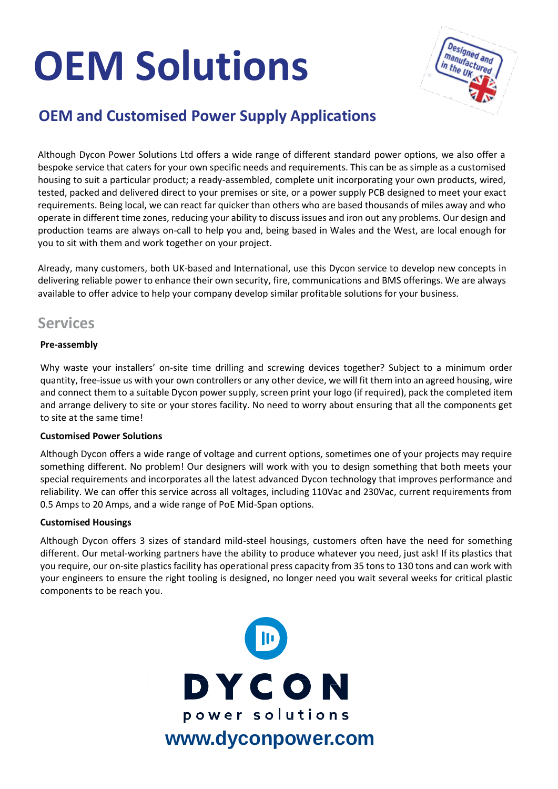# **OEM Solutions**



## **OEM and Customised Power Supply Applications**

Although Dycon Power Solutions Ltd offers a wide range of different standard power options, we also offer a bespoke service that caters for your own specific needs and requirements. This can be as simple as a customised housing to suit a particular product; a ready-assembled, complete unit incorporating your own products, wired, tested, packed and delivered direct to your premises or site, or a power supply PCB designed to meet your exact requirements. Being local, we can react far quicker than others who are based thousands of miles away and who operate in different time zones, reducing your ability to discuss issues and iron out any problems. Our design and production teams are always on-call to help you and, being based in Wales and the West, are local enough for you to sit with them and work together on your project.

Already, many customers, both UK-based and International, use this Dycon service to develop new concepts in delivering reliable power to enhance their own security, fire, communications and BMS offerings. We are always available to offer advice to help your company develop similar profitable solutions for your business.

### **Services**

#### **Pre-assembly**

Why waste your installers' on-site time drilling and screwing devices together? Subject to a minimum order quantity, free-issue us with your own controllers or any other device, we will fit them into an agreed housing, wire and connect them to a suitable Dycon power supply, screen print your logo (if required), pack the completed item and arrange delivery to site or your stores facility. No need to worry about ensuring that all the components get to site at the same time!

#### **Customised Power Solutions**

Although Dycon offers a wide range of voltage and current options, sometimes one of your projects may require something different. No problem! Our designers will work with you to design something that both meets your special requirements and incorporates all the latest advanced Dycon technology that improves performance and reliability. We can offer this service across all voltages, including 110Vac and 230Vac, current requirements from 0.5 Amps to 20 Amps, and a wide range of PoE Mid-Span options.

#### **Customised Housings**

Although Dycon offers 3 sizes of standard mild-steel housings, customers often have the need for something different. Our metal-working partners have the ability to produce whatever you need, just ask! If its plastics that you require, our on-site plastics facility has operational press capacity from 35 tons to 130 tons and can work with your engineers to ensure the right tooling is designed, no longer need you wait several weeks for critical plastic components to be reach you.